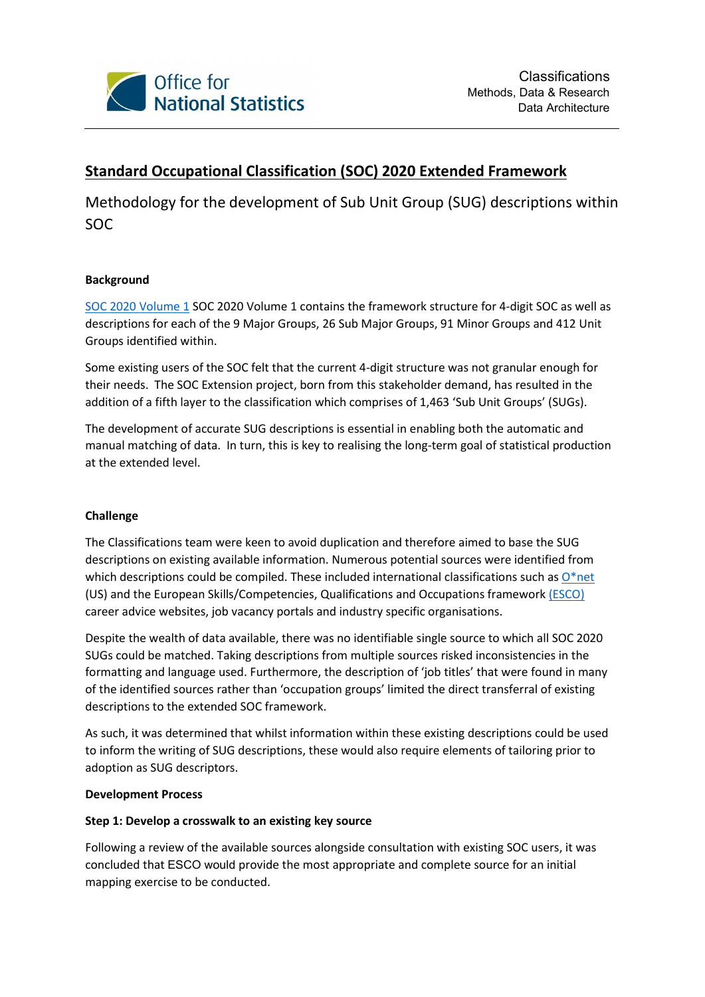

# Standard Occupational Classification (SOC) 2020 Extended Framework

Methodology for the development of Sub Unit Group (SUG) descriptions within SOC

## Background

SOC 2020 Volume 1 SOC 2020 Volume 1 contains the framework structure for 4-digit SOC as well as descriptions for each of the 9 Major Groups, 26 Sub Major Groups, 91 Minor Groups and 412 Unit Groups identified within.

Some existing users of the SOC felt that the current 4-digit structure was not granular enough for their needs. The SOC Extension project, born from this stakeholder demand, has resulted in the addition of a fifth layer to the classification which comprises of 1,463 'Sub Unit Groups' (SUGs).

The development of accurate SUG descriptions is essential in enabling both the automatic and manual matching of data. In turn, this is key to realising the long-term goal of statistical production at the extended level.

### Challenge

The Classifications team were keen to avoid duplication and therefore aimed to base the SUG descriptions on existing available information. Numerous potential sources were identified from which descriptions could be compiled. These included international classifications such as  $O^*$ net (US) and the European Skills/Competencies, Qualifications and Occupations framework (ESCO) career advice websites, job vacancy portals and industry specific organisations.

Despite the wealth of data available, there was no identifiable single source to which all SOC 2020 SUGs could be matched. Taking descriptions from multiple sources risked inconsistencies in the formatting and language used. Furthermore, the description of 'job titles' that were found in many of the identified sources rather than 'occupation groups' limited the direct transferral of existing descriptions to the extended SOC framework.

As such, it was determined that whilst information within these existing descriptions could be used to inform the writing of SUG descriptions, these would also require elements of tailoring prior to adoption as SUG descriptors.

### Development Process

### Step 1: Develop a crosswalk to an existing key source

Following a review of the available sources alongside consultation with existing SOC users, it was concluded that ESCO would provide the most appropriate and complete source for an initial mapping exercise to be conducted.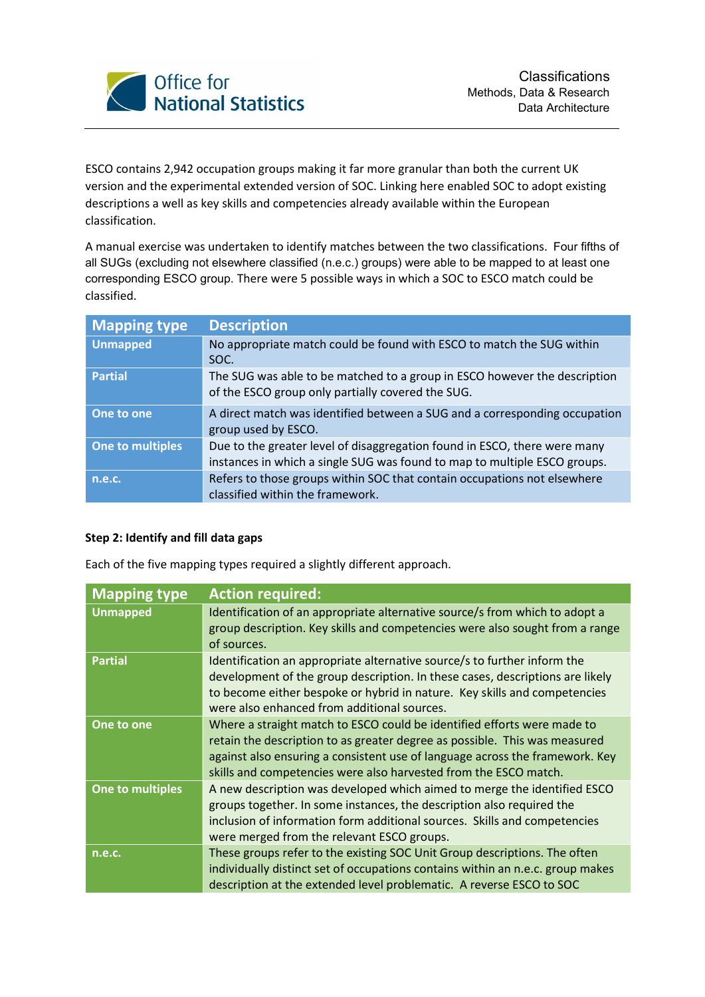

ESCO contains 2,942 occupation groups making it far more granular than both the current UK version and the experimental extended version of SOC. Linking here enabled SOC to adopt existing descriptions a well as key skills and competencies already available within the European classification.

A manual exercise was undertaken to identify matches between the two classifications. Four fifths of all SUGs (excluding not elsewhere classified (n.e.c.) groups) were able to be mapped to at least one corresponding ESCO group. There were 5 possible ways in which a SOC to ESCO match could be classified.

| <b>Mapping type</b> | <b>Description</b>                                                                                                                                     |
|---------------------|--------------------------------------------------------------------------------------------------------------------------------------------------------|
| <b>Unmapped</b>     | No appropriate match could be found with ESCO to match the SUG within<br>SOC.                                                                          |
| <b>Partial</b>      | The SUG was able to be matched to a group in ESCO however the description<br>of the ESCO group only partially covered the SUG.                         |
| One to one          | A direct match was identified between a SUG and a corresponding occupation<br>group used by ESCO.                                                      |
| One to multiples    | Due to the greater level of disaggregation found in ESCO, there were many<br>instances in which a single SUG was found to map to multiple ESCO groups. |
| n.e.c.              | Refers to those groups within SOC that contain occupations not elsewhere<br>classified within the framework.                                           |

### Step 2: Identify and fill data gaps

Each of the five mapping types required a slightly different approach.

| <b>Mapping type</b> | <b>Action required:</b>                                                                                                                                                                                                                                                                                   |
|---------------------|-----------------------------------------------------------------------------------------------------------------------------------------------------------------------------------------------------------------------------------------------------------------------------------------------------------|
| <b>Unmapped</b>     | Identification of an appropriate alternative source/s from which to adopt a<br>group description. Key skills and competencies were also sought from a range<br>of sources.                                                                                                                                |
| <b>Partial</b>      | Identification an appropriate alternative source/s to further inform the<br>development of the group description. In these cases, descriptions are likely<br>to become either bespoke or hybrid in nature. Key skills and competencies<br>were also enhanced from additional sources.                     |
| One to one          | Where a straight match to ESCO could be identified efforts were made to<br>retain the description to as greater degree as possible. This was measured<br>against also ensuring a consistent use of language across the framework. Key<br>skills and competencies were also harvested from the ESCO match. |
| One to multiples    | A new description was developed which aimed to merge the identified ESCO<br>groups together. In some instances, the description also required the<br>inclusion of information form additional sources. Skills and competencies<br>were merged from the relevant ESCO groups.                              |
| n.e.c.              | These groups refer to the existing SOC Unit Group descriptions. The often<br>individually distinct set of occupations contains within an n.e.c. group makes<br>description at the extended level problematic. A reverse ESCO to SOC                                                                       |